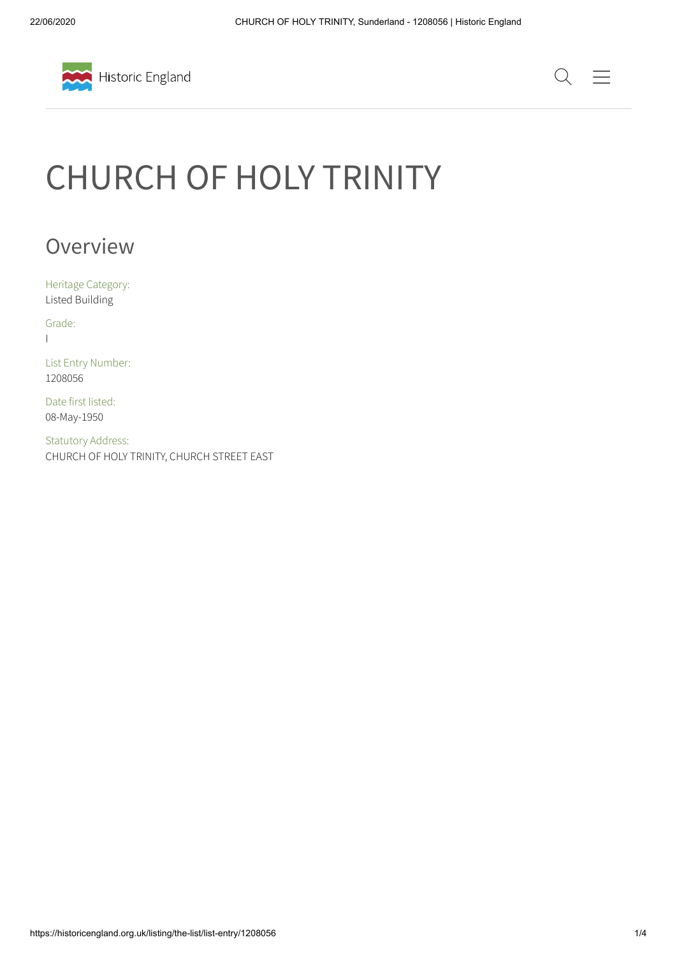



# CHURCH OF HOLY TRINITY

## Overview

Heritage Category: Listed Building

Grade:  $\mathbf{I}$ 

List Entry Number: 1208056

Date first listed: 08-May-1950

Statutory Address: CHURCH OF HOLY TRINITY, CHURCH STREET EAST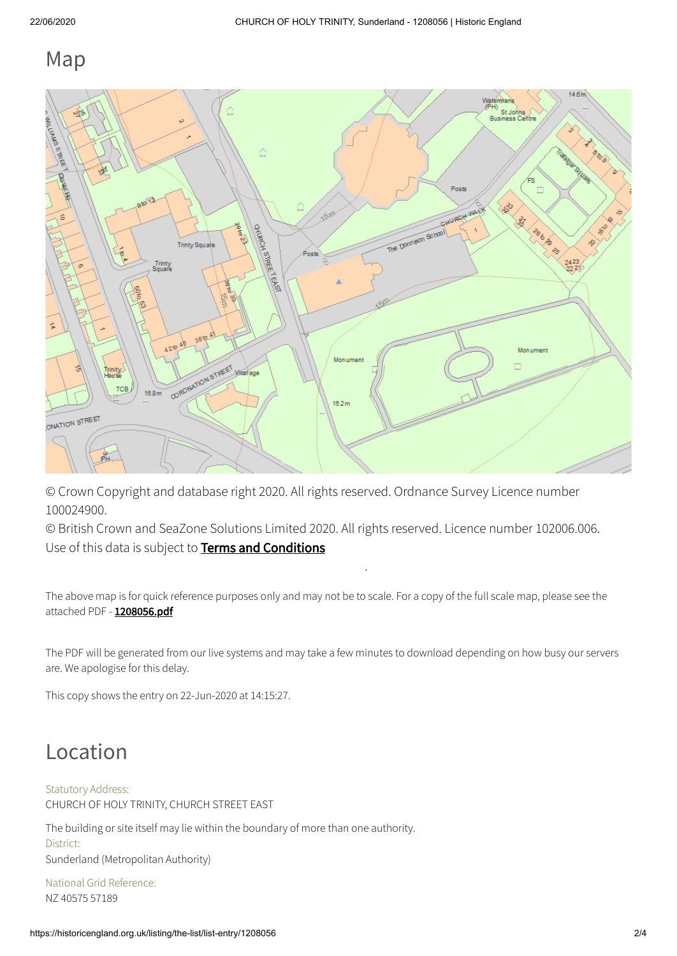#### Map



© Crown Copyright and database right 2020. All rights reserved. Ordnance Survey Licence number 100024900.

© British Crown and SeaZone Solutions Limited 2020. All rights reserved. Licence number 102006.006. Use of this data is subject to **Terms and [Conditions](https://historicengland.org.uk/terms/website-terms-conditions/)** 

The above map is for quick reference purposes only and may not be to scale. For a copy of the full scale map, please see the attached PDF - [1208056.pdf](http://mapservices.historicengland.org.uk/printwebservicehle/StatutoryPrint.svc/192580/HLE_A4L_Grade%7CHLE_A3L_Grade.pdf)

.

The PDF will be generated from our live systems and may take a few minutes to download depending on how busy our servers are. We apologise for this delay.

This copy shows the entry on 22-Jun-2020 at 14:15:27.

# Location

#### Statutory Address:

CHURCH OF HOLY TRINITY, CHURCH STREET EAST

The building or site itself may lie within the boundary of more than one authority. District: Sunderland (Metropolitan Authority)

National Grid Reference: NZ 40575 57189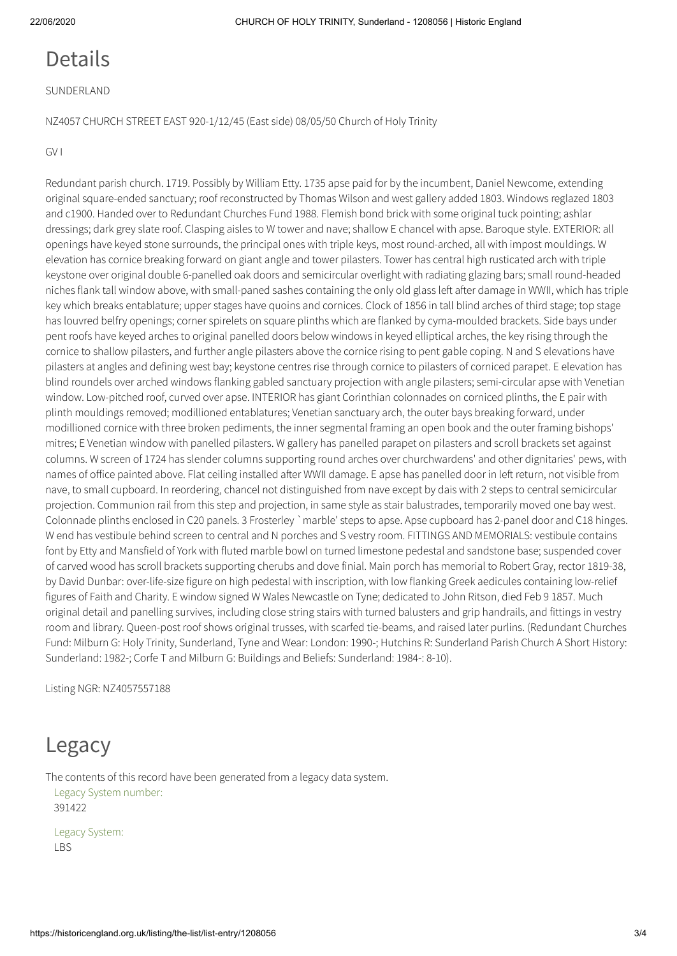#### Details

SUNDERLAND

NZ4057 CHURCH STREET EAST 920-1/12/45 (East side) 08/05/50 Church of Holy Trinity

GV I

Redundant parish church. 1719. Possibly by William Etty. 1735 apse paid for by the incumbent, Daniel Newcome, extending original square-ended sanctuary; roof reconstructed by Thomas Wilson and west gallery added 1803. Windows reglazed 1803 and c1900. Handed over to Redundant Churches Fund 1988. Flemish bond brick with some original tuck pointing; ashlar dressings; dark grey slate roof. Clasping aisles to W tower and nave; shallow E chancel with apse. Baroque style. EXTERIOR: all openings have keyed stone surrounds, the principal ones with triple keys, most round-arched, all with impost mouldings. W elevation has cornice breaking forward on giant angle and tower pilasters. Tower has central high rusticated arch with triple keystone over original double 6-panelled oak doors and semicircular overlight with radiating glazing bars; small round-headed niches flank tall window above, with small-paned sashes containing the only old glass left after damage in WWII, which has triple key which breaks entablature; upper stages have quoins and cornices. Clock of 1856 in tall blind arches of third stage; top stage has louvred belfry openings; corner spirelets on square plinths which are flanked by cyma-moulded brackets. Side bays under pent roofs have keyed arches to original panelled doors below windows in keyed elliptical arches, the key rising through the cornice to shallow pilasters, and further angle pilasters above the cornice rising to pent gable coping. N and S elevations have pilasters at angles and defining west bay; keystone centres rise through cornice to pilasters of corniced parapet. E elevation has blind roundels over arched windows flanking gabled sanctuary projection with angle pilasters; semi-circular apse with Venetian window. Low-pitched roof, curved over apse. INTERIOR has giant Corinthian colonnades on corniced plinths, the E pair with plinth mouldings removed; modillioned entablatures; Venetian sanctuary arch, the outer bays breaking forward, under modillioned cornice with three broken pediments, the inner segmental framing an open book and the outer framing bishops' mitres; E Venetian window with panelled pilasters. W gallery has panelled parapet on pilasters and scroll brackets set against columns. W screen of 1724 has slender columns supporting round arches over churchwardens' and other dignitaries' pews, with names of office painted above. Flat ceiling installed after WWII damage. E apse has panelled door in left return, not visible from nave, to small cupboard. In reordering, chancel not distinguished from nave except by dais with 2 steps to central semicircular projection. Communion rail from this step and projection, in same style as stair balustrades, temporarily moved one bay west. Colonnade plinths enclosed in C20 panels. 3 Frosterley `marble' steps to apse. Apse cupboard has 2-panel door and C18 hinges. W end has vestibule behind screen to central and N porches and S vestry room. FITTINGS AND MEMORIALS: vestibule contains font by Etty and Mansfield of York with fluted marble bowl on turned limestone pedestal and sandstone base; suspended cover of carved wood has scroll brackets supporting cherubs and dove finial. Main porch has memorial to Robert Gray, rector 1819-38, by David Dunbar: over-life-size figure on high pedestal with inscription, with low flanking Greek aedicules containing low-relief figures of Faith and Charity. E window signed W Wales Newcastle on Tyne; dedicated to John Ritson, died Feb 9 1857. Much original detail and panelling survives, including close string stairs with turned balusters and grip handrails, and fittings in vestry room and library. Queen-post roof shows original trusses, with scarfed tie-beams, and raised later purlins. (Redundant Churches Fund: Milburn G: Holy Trinity, Sunderland, Tyne and Wear: London: 1990-; Hutchins R: Sunderland Parish Church A Short History: Sunderland: 1982-; Corfe T and Milburn G: Buildings and Beliefs: Sunderland: 1984-: 8-10).

Listing NGR: NZ4057557188

### Legacy

The contents of this record have been generated from a legacy data system. Legacy System number: 391422

Legacy System: LBS